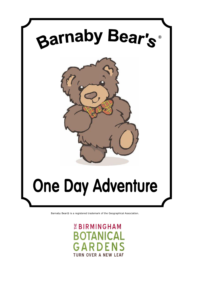

Barnaby Bear® is a registered trademark of the Geographical Association.

*EBIRMINGHAM* TANICAL RDEI **TURN OVER A NEW LEAF**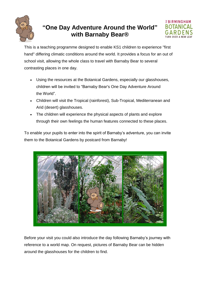

# **"One Day Adventure Around the World" with Barnaby Bear®**



This is a teaching programme designed to enable KS1 children to experience "first hand" differing climatic conditions around the world. It provides a focus for an out of school visit, allowing the whole class to travel with Barnaby Bear to several contrasting places in one day.

- Using the resources at the Botanical Gardens, especially our glasshouses, children will be invited to "Barnaby Bear's One Day Adventure Around the World".
- Children will visit the Tropical (rainforest), Sub-Tropical, Mediterranean and Arid (desert) glasshouses.
- The children will experience the physical aspects of plants and explore through their own feelings the human features connected to these places.

To enable your pupils to enter into the spirit of Barnaby's adventure, you can invite them to the Botanical Gardens by postcard from Barnaby!



Before your visit you could also introduce the day following Barnaby's journey with reference to a world map. On request, pictures of Barnaby Bear can be hidden around the glasshouses for the children to find.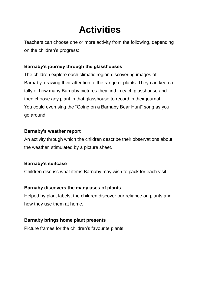# **Activities**

Teachers can choose one or more activity from the following, depending on the children's progress:

## **Barnaby's journey through the glasshouses**

The children explore each climatic region discovering images of Barnaby, drawing their attention to the range of plants. They can keep a tally of how many Barnaby pictures they find in each glasshouse and then choose any plant in that glasshouse to record in their journal. You could even sing the "Going on a Barnaby Bear Hunt" song as you go around!

## **Barnaby's weather report**

An activity through which the children describe their observations about the weather, stimulated by a picture sheet.

## **Barnaby's suitcase**

Children discuss what items Barnaby may wish to pack for each visit.

## **Barnaby discovers the many uses of plants**

Helped by plant labels, the children discover our reliance on plants and how they use them at home.

## **Barnaby brings home plant presents**

Picture frames for the children's favourite plants.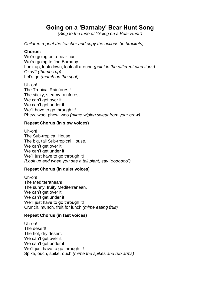# **Going on a 'Barnaby' Bear Hunt Song**

*(Sing to the tune of "Going on a Bear Hunt")* 

*Children repeat the teacher and copy the actions (in brackets)*

#### **Chorus:**

We're going on a bear hunt We're going to find Barnaby Look up, look down, look all around *(point in the different directions)* Okay? *(thumbs up)* Let's go *(march on the spot)*

Uh-oh! The Tropical Rainforest! The sticky, steamy rainforest. We can't get over it We can't get under it We'll have to go through it! Phew, woo, phew, woo *(mime wiping sweat from your brow)*

#### **Repeat Chorus (in slow voices)**

Uh-oh! The Sub-tropica! House The big, tall Sub-tropical House. We can't get over it We can't get under it We'll just have to go through it! *(Look up and when you see a tall plant, say "ooooooo")*

### **Repeat Chorus (in quiet voices)**

Uh-oh! The Mediterranean! The sunny, fruity Mediterranean. We can't get over it We can't get under it We'll just have to go through it! Crunch, munch, fruit for lunch *(mime eating fruit)*

### **Repeat Chorus (in fast voices)**

Uh-oh! The desert! The hot, dry desert. We can't get over it We can't get under it We'll just have to go through it! Spike, ouch, spike, ouch *(mime the spikes and rub arms)*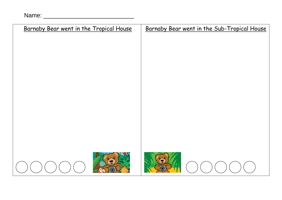Name: \_\_\_\_\_\_\_\_\_\_\_\_\_\_\_\_\_\_\_\_\_\_\_\_\_\_\_

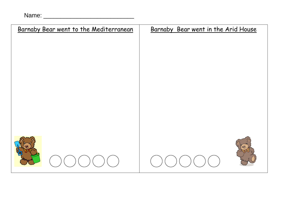| Name: |  |  |
|-------|--|--|
|       |  |  |

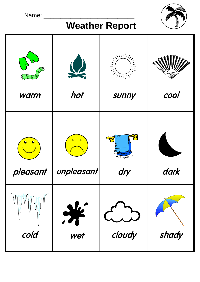| Name:    |            |                                                                                                                                                                                                                                                                                                                                                                                                                          |       |
|----------|------------|--------------------------------------------------------------------------------------------------------------------------------------------------------------------------------------------------------------------------------------------------------------------------------------------------------------------------------------------------------------------------------------------------------------------------|-------|
| warm     | hot        | $\frac{1}{\frac{1}{\sqrt{2}}}\frac{1}{\sqrt{2}}\frac{1}{\sqrt{2}}\frac{1}{\sqrt{2}}\frac{1}{\sqrt{2}}\frac{1}{\sqrt{2}}\frac{1}{\sqrt{2}}\frac{1}{\sqrt{2}}\frac{1}{\sqrt{2}}\frac{1}{\sqrt{2}}\frac{1}{\sqrt{2}}\frac{1}{\sqrt{2}}\frac{1}{\sqrt{2}}\frac{1}{\sqrt{2}}\frac{1}{\sqrt{2}}\frac{1}{\sqrt{2}}\frac{1}{\sqrt{2}}\frac{1}{\sqrt{2}}\frac{1}{\sqrt{2}}\frac{1}{\sqrt{2}}\frac{1}{\sqrt{2}}\frac{1}{$<br>sunny | cool  |
| pleasant | unpleasant | $\frac{1}{1}$<br>dry                                                                                                                                                                                                                                                                                                                                                                                                     | dark  |
| cold     | wet        | cloudy                                                                                                                                                                                                                                                                                                                                                                                                                   | shady |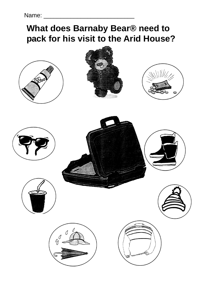# **What does Barnaby Bear® need to pack for his visit to the Arid House?**

















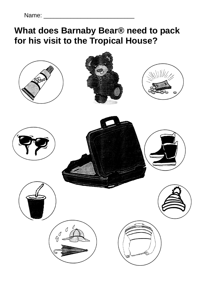Name: \_\_\_\_\_\_\_\_\_\_\_\_\_\_\_\_\_\_\_\_\_\_\_\_\_\_\_

# **What does Barnaby Bear® need to pack for his visit to the Tropical House?**

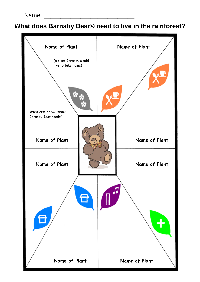**What does Barnaby Bear® need to live in the rainforest?**